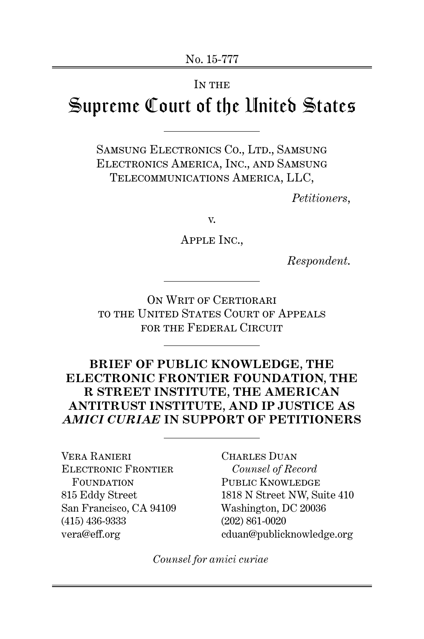#### IN THE

# Supreme Court of the United States

SAMSUNG ELECTRONICS CO., LTD., SAMSUNG Electronics America, Inc., and Samsung Telecommunications America, LLC,

*Petitioners*,

v.

Apple Inc.,

*Respondent*.

ON WRIT OF CERTIORARI to the United States Court of Appeals FOR THE FEDERAL CIRCUIT

# **BRIEF OF PUBLIC KNOWLEDGE, THE ELECTRONIC FRONTIER FOUNDATION, THE R STREET INSTITUTE, THE AMERICAN ANTITRUST INSTITUTE, AND IP JUSTICE AS** *AMICI CURIAE* **IN SUPPORT OF PETITIONERS**

Vera Ranieri Electronic Frontier FOUNDATION 815 Eddy Street San Francisco, CA 94109 (415) 436-9333 vera@eff.org

Charles Duan *Counsel of Record* PUBLIC KNOWLEDGE 1818 N Street NW, Suite 410 Washington, DC 20036 (202) 861-0020 cduan@publicknowledge.org

*Counsel for amici curiae*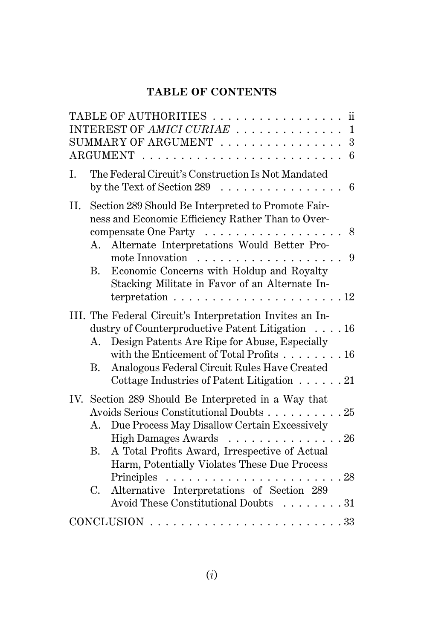# **TABLE OF CONTENTS**

|     |         | TABLE OF AUTHORITIES<br>$\ddot{\text{ii}}$                                                                                  |
|-----|---------|-----------------------------------------------------------------------------------------------------------------------------|
|     |         | INTEREST OF AMICI CURIAE  1                                                                                                 |
|     |         | 3<br>SUMMARY OF ARGUMENT                                                                                                    |
|     |         | 6                                                                                                                           |
| T.  |         | The Federal Circuit's Construction Is Not Mandated<br>by the Text of Section 289 $\dots \dots \dots \dots \dots \dots$<br>6 |
| II. |         | Section 289 Should Be Interpreted to Promote Fair-<br>ness and Economic Efficiency Rather Than to Over-                     |
|     |         | compensate One Party 8<br>A. Alternate Interpretations Would Better Pro-                                                    |
|     | B.      | 9<br>Economic Concerns with Holdup and Royalty<br>Stacking Militate in Favor of an Alternate In-                            |
|     |         | terpretation $\ldots \ldots \ldots \ldots \ldots \ldots \ldots 12$                                                          |
|     |         | III. The Federal Circuit's Interpretation Invites an In-                                                                    |
|     | А.      | dustry of Counterproductive Patent Litigation 16<br>Design Patents Are Ripe for Abuse, Especially                           |
|     | В.      | with the Enticement of Total Profits 16<br>Analogous Federal Circuit Rules Have Created                                     |
|     |         | Cottage Industries of Patent Litigation $\ldots \ldots$ . 21                                                                |
|     |         | IV. Section 289 Should Be Interpreted in a Way that                                                                         |
|     |         | Avoids Serious Constitutional Doubts 25                                                                                     |
|     | $A_{-}$ | Due Process May Disallow Certain Excessively                                                                                |
|     |         | High Damages Awards 26                                                                                                      |
|     | В.      | A Total Profits Award, Irrespective of Actual                                                                               |
|     |         | Harm, Potentially Violates These Due Process                                                                                |
|     |         |                                                                                                                             |
|     | C.      | Alternative Interpretations of Section 289<br>Avoid These Constitutional Doubts 31                                          |
|     |         |                                                                                                                             |
|     |         | CONCLUSION                                                                                                                  |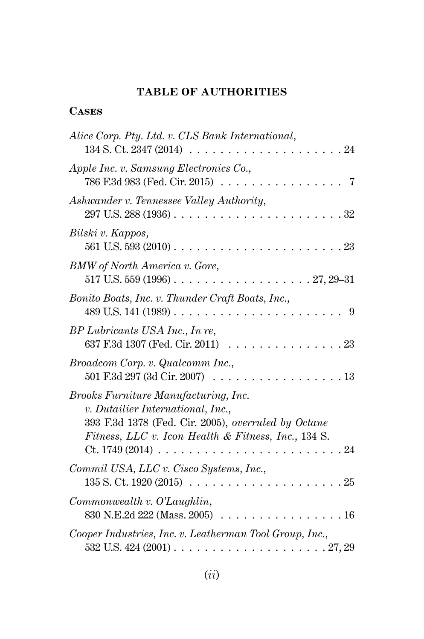# **TABLE OF AUTHORITIES**

### **Cases**

| Alice Corp. Pty. Ltd. v. CLS Bank International,<br>134 S. Ct. 2347 (2014)<br>24                                                                                                                                           |
|----------------------------------------------------------------------------------------------------------------------------------------------------------------------------------------------------------------------------|
| Apple Inc. v. Samsung Electronics Co.,<br>786 F.3d 983 (Fed. Cir. 2015)                                                                                                                                                    |
| Ashwander v. Tennessee Valley Authority,<br>$297$ U.S. $288(1936)$<br>32                                                                                                                                                   |
| Bilski v. Kappos,<br>561 U.S. 593 (2010).<br>23                                                                                                                                                                            |
| BMW of North America v. Gore,                                                                                                                                                                                              |
| Bonito Boats, Inc. v. Thunder Craft Boats, Inc.,<br>$489$ U.S. $141$ $(1989)$<br>9<br>.                                                                                                                                    |
| BP Lubricants USA Inc., In re,<br>637 F.3d 1307 (Fed. Cir. 2011)<br>23                                                                                                                                                     |
| Broadcom Corp. v. Qualcomm Inc.,<br>501 F.3d 297 (3d Cir. 2007)<br>13                                                                                                                                                      |
| Brooks Furniture Manufacturing, Inc.<br>v. Dutailier International, Inc.,<br>393 F.3d 1378 (Fed. Cir. 2005), overruled by Octane<br>Fitness, LLC v. Icon Health & Fitness, Inc., 134 S.<br>$Ct. 1749(2014)$ .<br>. 24<br>. |
| Commil USA, LLC v. Cisco Systems, Inc.,<br>135 S. Ct. 1920 (2015)<br>25<br>.                                                                                                                                               |
| Common wealth v. O' Laughlin,<br>830 N.E.2d 222 (Mass. 2005)<br>. 16                                                                                                                                                       |
| Cooper Industries, Inc. v. Leatherman Tool Group, Inc.,                                                                                                                                                                    |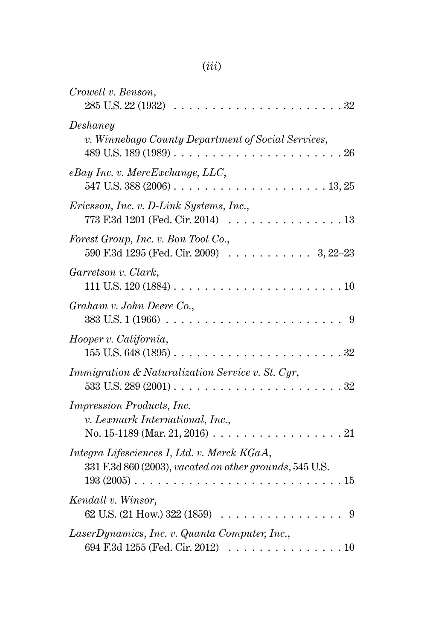# (*iii*)

| Crowell v. Benson,<br>285 U.S. 22 (1932)<br>$32\,$                                                                                                  |
|-----------------------------------------------------------------------------------------------------------------------------------------------------|
| Deshaney<br>v. Winnebago County Department of Social Services,<br>489 U.S. 189 (1989).<br>26<br>.                                                   |
| eBay Inc. v. MercExchange, LLC,<br>547 U.S. 388 $(2006)$<br>.13,25<br>$\begin{array}{cccccccccccccc} . & . & . & . & . & . & . & . & . \end{array}$ |
| Ericsson, Inc. v. D-Link Systems, Inc.,<br>773 F.3d 1201 (Fed. Cir. 2014)<br>13                                                                     |
| Forest Group, Inc. v. Bon Tool Co.,<br>590 F.3d 1295 (Fed. Cir. 2009) $\ldots$<br>$3, 22 - 23$                                                      |
| Garretson v. Clark,<br>111 U.S. $120(1884) \ldots$ .<br>10                                                                                          |
| Graham v. John Deere Co.,<br>$383$ U.S. $1(1966)$ .<br>9                                                                                            |
| Hooper v. California,<br>32<br>155 U.S. 648 (1895).<br>$\sim$ $\sim$                                                                                |
| Immigration & Naturalization Service v. St. Cyr,<br>32<br>$533$ U.S. $289(2001)$                                                                    |
| <i>Impression Products, Inc.</i><br>v. Lexmark International, Inc.,<br>No. 15-1189 (Mar. 21, 2016) $\ldots$<br>21                                   |
| Integra Lifesciences I, Ltd. v. Merck KGaA,<br>331 F.3d 860 (2003), vacated on other grounds, 545 U.S.<br>15<br>$193(2005)$                         |
| Kendall v. Winsor,<br>62 U.S. (21 How.) 322 (1859)<br>9<br>$\cdot \cdot \cdot \cdot$                                                                |
| LaserDynamics, Inc. v. Quanta Computer, Inc.,<br>694 F.3d 1255 (Fed. Cir. 2012)<br>10                                                               |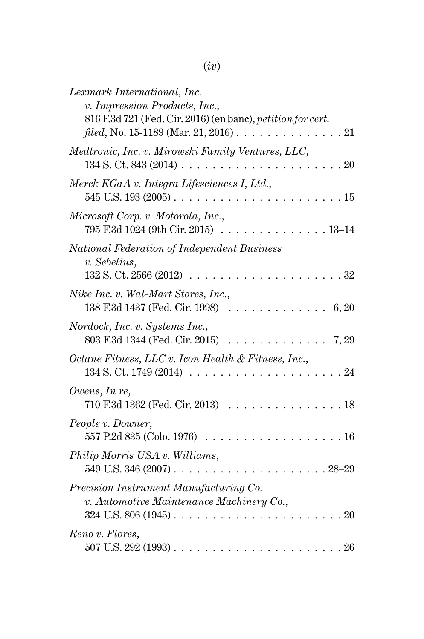| Lexmark International, Inc.<br>v. Impression Products, Inc.,<br>816 F.3d 721 (Fed. Cir. 2016) (en banc), petition for cert. |
|-----------------------------------------------------------------------------------------------------------------------------|
| $filed$ , No. 15-1189 (Mar. 21, 2016)<br>.21                                                                                |
| Medtronic, Inc. v. Mirowski Family Ventures, LLC,<br>134 S. Ct. 843 (2014).<br>20                                           |
| Merck KGaA v. Integra Lifesciences I, Ltd.,<br>545 U.S. 193 (2005).<br>15<br>and a state                                    |
| Microsoft Corp. v. Motorola, Inc.,<br>795 F.3d 1024 (9th Cir. 2015)<br>$13 - 14$                                            |
| National Federation of Independent Business<br>v. Sebelius,<br>132 S. Ct. 2566 (2012)<br>32                                 |
| Nike Inc. v. Wal-Mart Stores, Inc.,<br>138 F.3d 1437 (Fed. Cir. 1998)<br>6, 20                                              |
| Nordock, Inc. v. Systems Inc.,<br>803 F.3d 1344 (Fed. Cir. 2015)<br>7, 29                                                   |
| Octane Fitness, LLC v. Icon Health & Fitness, Inc.,<br>134 S. Ct. 1749 (2014)<br>24                                         |
| Owens, In re,<br>710 F.3d 1362 (Fed. Cir. 2013)<br>18                                                                       |
| People v. Downer,<br>557 P.2d 835 (Colo. 1976)<br>16                                                                        |
| Philip Morris USA v. Williams,<br>$549$ U.S. $346$ (2007)<br>$.28 - 29$                                                     |
| Precision Instrument Manufacturing Co.                                                                                      |
| v. Automotive Maintenance Machinery Co.,<br>20<br>324 U.S. 806 (1945).                                                      |
| Reno v. Flores,<br>$F \wedge F$ TT $\cap \cap$                                                                              |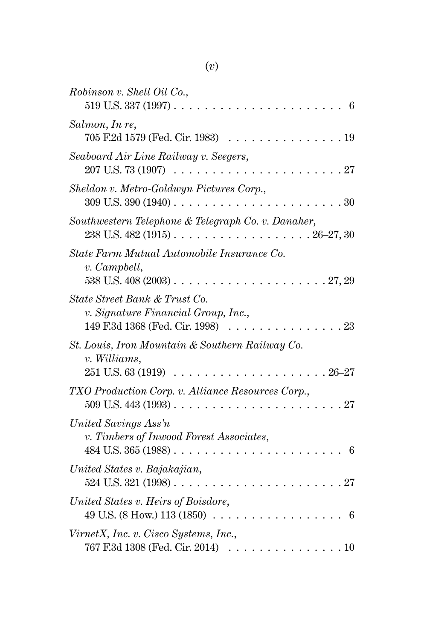| Robinson v. Shell Oil Co.,<br>519 U.S. 337 (1997).<br>6                                                      |
|--------------------------------------------------------------------------------------------------------------|
| Salmon, In re,<br>705 F.2d 1579 (Fed. Cir. 1983)<br>19                                                       |
| Seaboard Air Line Railway v. Seegers,<br>207 U.S. 73 (1907)<br>27                                            |
| Sheldon v. Metro-Goldwyn Pictures Corp.,<br>309 U.S. 390 (1940).<br>30<br>$\cdot$                            |
| Southwestern Telephone & Telegraph Co. v. Danaher,<br>238 U.S. 482 (1915).<br>$.26 - 27,30$                  |
| State Farm Mutual Automobile Insurance Co.<br>v. Campbell,<br>538 U.S. 408 (2003).<br>.27,29                 |
| State Street Bank & Trust Co.<br>v. Signature Financial Group, Inc.,<br>149 F.3d 1368 (Fed. Cir. 1998)<br>23 |
| St. Louis, Iron Mountain & Southern Railway Co.<br>v. Williams,<br>251 U.S. 63 (1919)<br>$26 - 27$           |
| TXO Production Corp. v. Alliance Resources Corp.,<br>509 U.S. 443 (1993).<br>27                              |
| United Savings Ass'n<br>v. Timbers of Inwood Forest Associates,<br>484 U.S. 365 (1988).<br>6                 |
| United States v. Bajakajian,<br>524 U.S. 321 (1998).<br>. 27                                                 |
| United States v. Heirs of Boisdore,<br>49 U.S. (8 How.) 113 (1850)<br>6                                      |
| VirnetX, Inc. v. Cisco Systems, Inc.,<br>767 F.3d 1308 (Fed. Cir. 2014)<br>.10                               |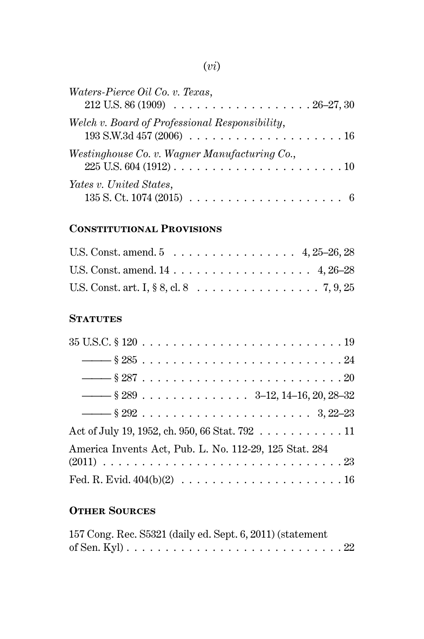# (*vi*)

| Waters-Pierce Oil Co. v. Texas,<br>$212$ U.S. 86 (1909) $\ldots \ldots \ldots \ldots \ldots \ldots \ldots \ldots 26-27, 30$              |
|------------------------------------------------------------------------------------------------------------------------------------------|
| Welch v. Board of Professional Responsibility,<br>$193$ S.W.3d $457$ (2006) $\ldots \ldots \ldots \ldots \ldots \ldots \ldots \ldots 16$ |
| Westinghouse Co. v. Wagner Manufacturing Co.,                                                                                            |
| Yates v. United States,<br>$135$ S. Ct. 1074 (2015) $\ldots \ldots \ldots \ldots \ldots \ldots \ldots \ldots$                            |

# **Constitutional Provisions**

| U.S. Const. art. I, § 8, cl. 8 7, 9, 25 |  |  |  |  |  |  |  |  |  |
|-----------------------------------------|--|--|--|--|--|--|--|--|--|

#### **STATUTES**

| $\frac{1}{2}$ \$ 289 3-12, 14-16, 20, 28-32            |
|--------------------------------------------------------|
|                                                        |
| Act of July 19, 1952, ch. 950, 66 Stat. 792 11         |
| America Invents Act, Pub. L. No. 112-29, 125 Stat. 284 |
|                                                        |

# **Other Sources**

| 157 Cong. Rec. S5321 (daily ed. Sept. 6, 2011) (statement |  |  |  |  |  |  |  |  |  |  |  |
|-----------------------------------------------------------|--|--|--|--|--|--|--|--|--|--|--|
|                                                           |  |  |  |  |  |  |  |  |  |  |  |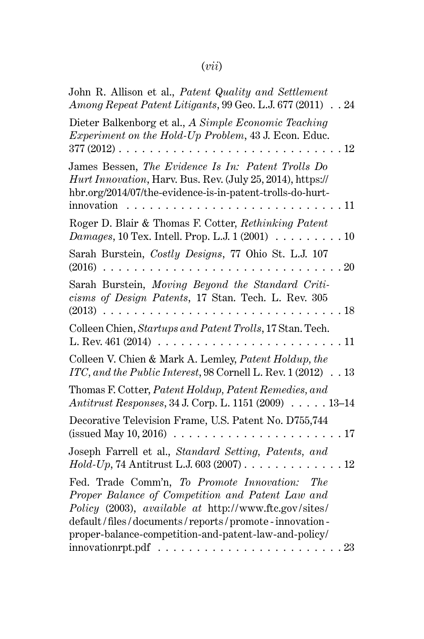# (*vii*)

| John R. Allison et al., <i>Patent Quality and Settlement</i><br>Among Repeat Patent Litigants, 99 Geo. L.J. 677 (2011) 24                                                                                                                                                  |
|----------------------------------------------------------------------------------------------------------------------------------------------------------------------------------------------------------------------------------------------------------------------------|
| Dieter Balkenborg et al., A Simple Economic Teaching<br>Experiment on the Hold-Up Problem, 43 J. Econ. Educ.<br>$377(2012)$<br>. 12                                                                                                                                        |
| James Bessen, The Evidence Is In: Patent Trolls Do<br>Hurt Innovation, Harv. Bus. Rev. (July 25, 2014), https://<br>hbr.org/2014/07/the-evidence-is-in-patent-trolls-do-hurt-<br>innovation<br>11<br>.                                                                     |
| Roger D. Blair & Thomas F. Cotter, Rethinking Patent<br><i>Damages</i> , 10 Tex. Intell. Prop. L.J. 1 (2001) $\ldots \ldots \ldots 10$                                                                                                                                     |
| Sarah Burstein, Costly Designs, 77 Ohio St. L.J. 107<br>.20                                                                                                                                                                                                                |
| Sarah Burstein, Moving Beyond the Standard Criti-<br>cisms of Design Patents, 17 Stan. Tech. L. Rev. 305                                                                                                                                                                   |
| Colleen Chien, Startups and Patent Trolls, 17 Stan. Tech.<br>.11                                                                                                                                                                                                           |
| Colleen V. Chien & Mark A. Lemley, Patent Holdup, the<br>ITC, and the Public Interest, 98 Cornell L. Rev. 1 (2012) 13                                                                                                                                                      |
| Thomas F. Cotter, Patent Holdup, Patent Remedies, and<br>Antitrust Responses, 34 J. Corp. L. 1151 (2009) 13-14                                                                                                                                                             |
| Decorative Television Frame, U.S. Patent No. D755,744<br>(issued May 10, 2016) $\ldots \ldots \ldots \ldots \ldots \ldots \ldots \ldots 17$                                                                                                                                |
| Joseph Farrell et al., Standard Setting, Patents, and                                                                                                                                                                                                                      |
| Fed. Trade Comm'n, To Promote Innovation: The<br>Proper Balance of Competition and Patent Law and<br>Policy (2003), available at http://www.ftc.gov/sites/<br>default/files/documents/reports/promote-innovation-<br>proper-balance-competition-and-patent-law-and-policy/ |
| . 23                                                                                                                                                                                                                                                                       |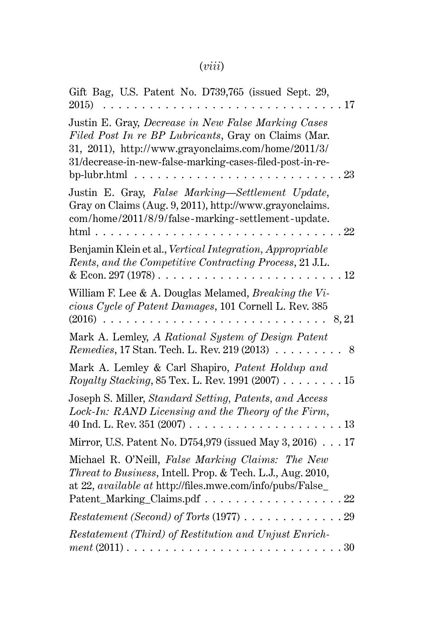# (*viii*)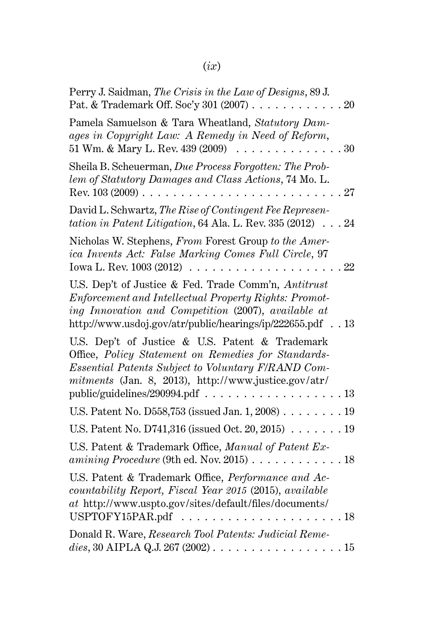# (*ix*)

| Perry J. Saidman, The Crisis in the Law of Designs, 89 J.<br>Pat. & Trademark Off. Soc'y 301 (2007)<br>.20                                                                                                                                                 |
|------------------------------------------------------------------------------------------------------------------------------------------------------------------------------------------------------------------------------------------------------------|
| Pamela Samuelson & Tara Wheatland, Statutory Dam-<br>ages in Copyright Law: A Remedy in Need of Reform,<br>51 Wm. & Mary L. Rev. 439 (2009)<br>. 30                                                                                                        |
| Sheila B. Scheuerman, Due Process Forgotten: The Prob-<br>lem of Statutory Damages and Class Actions, 74 Mo. L.<br>Rev. $103(2009)$ .<br>27                                                                                                                |
| David L. Schwartz, The Rise of Contingent Fee Represen-<br>tation in Patent Litigation, 64 Ala. L. Rev. 335 (2012).<br>.24                                                                                                                                 |
| Nicholas W. Stephens, From Forest Group to the Amer-<br>ica Invents Act: False Marking Comes Full Circle, 97<br>Iowa L. Rev. 1003 (2012)<br>22                                                                                                             |
| U.S. Dep't of Justice & Fed. Trade Comm'n, Antitrust<br>Enforcement and Intellectual Property Rights: Promot-<br>ing Innovation and Competition (2007), available at<br>http://www.usdoj.gov/atr/public/hearings/ip/222655.pdf 13                          |
| U.S. Dep't of Justice & U.S. Patent & Trademark<br>Office, Policy Statement on Remedies for Standards-<br>Essential Patents Subject to Voluntary F/RAND Com-<br>mitments (Jan. 8, 2013), http://www.justice.gov/atr/<br>public/guidelines/290994.pdf<br>13 |
| U.S. Patent No. D558,753 (issued Jan. 1, 2008) 19                                                                                                                                                                                                          |
| U.S. Patent No. D741,316 (issued Oct. 20, 2015) $\ldots$ .<br>.19                                                                                                                                                                                          |
| U.S. Patent & Trademark Office, Manual of Patent Ex-<br>amining Procedure (9th ed. Nov. 2015) $\dots \dots$<br>. 18                                                                                                                                        |
| U.S. Patent & Trademark Office, Performance and Ac-<br>countability Report, Fiscal Year 2015 (2015), available<br>at http://www.uspto.gov/sites/default/files/documents/<br>USPTOFY15PAR.pdf<br>. 18                                                       |
| Donald R. Ware, Research Tool Patents: Judicial Reme-<br>dies, 30 AIPLA Q.J. 267 (2002)<br>. 15<br>.                                                                                                                                                       |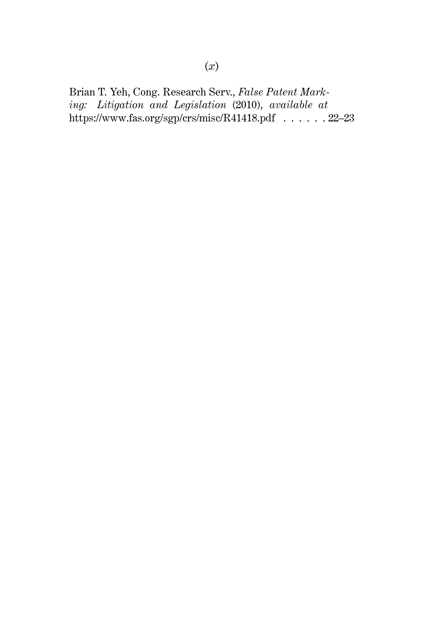Brian T. Yeh, Cong. Research Serv., *False Patent Marking: Litigation and Legislation* (2010), *available at* https://www.fas.org/sgp/crs/misc/R41418.pdf . . . . . . 22–23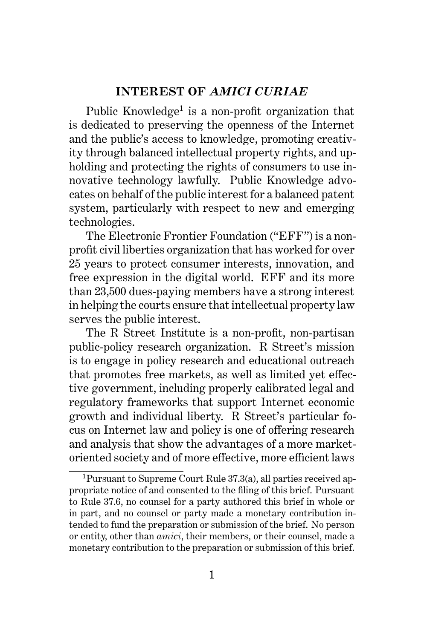#### **INTEREST OF** *AMICI CURIAE*

Public Knowledge<sup>1</sup> is a non-profit organization that is dedicated to preserving the openness of the Internet and the public's access to knowledge, promoting creativity through balanced intellectual property rights, and upholding and protecting the rights of consumers to use innovative technology lawfully. Public Knowledge advocates on behalf of the public interest for a balanced patent system, particularly with respect to new and emerging technologies.

The Electronic Frontier Foundation ("EFF") is a nonprofit civil liberties organization that has worked for over 25 years to protect consumer interests, innovation, and free expression in the digital world. EFF and its more than 23,500 dues-paying members have a strong interest in helping the courts ensure that intellectual property law serves the public interest.

The R Street Institute is a non-profit, non-partisan public-policy research organization. R Street's mission is to engage in policy research and educational outreach that promotes free markets, as well as limited yet effective government, including properly calibrated legal and regulatory frameworks that support Internet economic growth and individual liberty. R Street's particular focus on Internet law and policy is one of offering research and analysis that show the advantages of a more marketoriented society and of more effective, more efficient laws

<sup>1</sup>Pursuant to Supreme Court Rule 37.3(a), all parties received appropriate notice of and consented to the filing of this brief. Pursuant to Rule 37.6, no counsel for a party authored this brief in whole or in part, and no counsel or party made a monetary contribution intended to fund the preparation or submission of the brief. No person or entity, other than *amici*, their members, or their counsel, made a monetary contribution to the preparation or submission of this brief.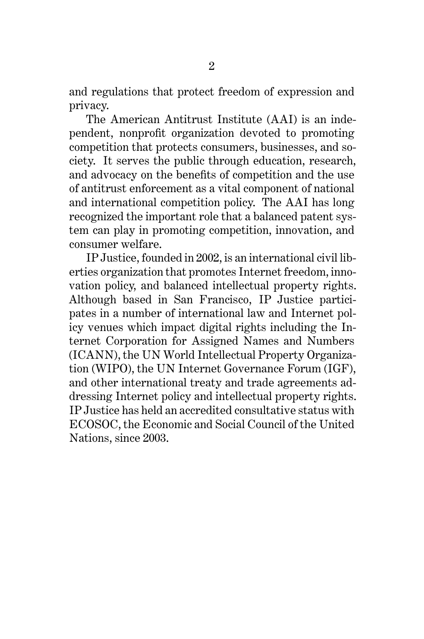2

and regulations that protect freedom of expression and privacy.

The American Antitrust Institute (AAI) is an independent, nonprofit organization devoted to promoting competition that protects consumers, businesses, and society. It serves the public through education, research, and advocacy on the benefits of competition and the use of antitrust enforcement as a vital component of national and international competition policy. The AAI has long recognized the important role that a balanced patent system can play in promoting competition, innovation, and consumer welfare.

IP Justice, founded in 2002, is an international civil liberties organization that promotes Internet freedom, innovation policy, and balanced intellectual property rights. Although based in San Francisco, IP Justice participates in a number of international law and Internet policy venues which impact digital rights including the Internet Corporation for Assigned Names and Numbers (ICANN), the UN World Intellectual Property Organization (WIPO), the UN Internet Governance Forum (IGF), and other international treaty and trade agreements addressing Internet policy and intellectual property rights. IP Justice has held an accredited consultative status with ECOSOC, the Economic and Social Council of the United Nations, since 2003.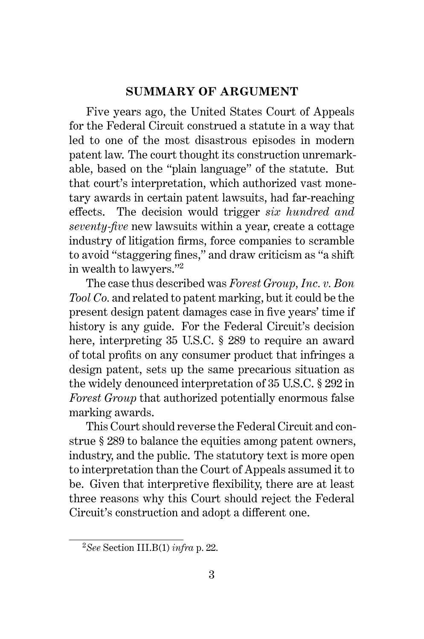#### **SUMMARY OF ARGUMENT**

Five years ago, the United States Court of Appeals for the Federal Circuit construed a statute in a way that led to one of the most disastrous episodes in modern patent law. The court thought its construction unremarkable, based on the "plain language" of the statute. But that court's interpretation, which authorized vast monetary awards in certain patent lawsuits, had far-reaching effects. The decision would trigger *six hundred and seventy-five* new lawsuits within a year, create a cottage industry of litigation firms, force companies to scramble to avoid "staggering fines," and draw criticism as "a shift in wealth to lawyers."<sup>2</sup>

The case thus described was *Forest Group, Inc. v. Bon Tool Co.* and related to patent marking, but it could be the present design patent damages case in five years' time if history is any guide. For the Federal Circuit's decision here, interpreting 35 U.S.C. § 289 to require an award of total profits on any consumer product that infringes a design patent, sets up the same precarious situation as the widely denounced interpretation of 35 U.S.C. § 292 in *Forest Group* that authorized potentially enormous false marking awards.

This Court should reverse the Federal Circuit and construe § 289 to balance the equities among patent owners, industry, and the public. The statutory text is more open to interpretation than the Court of Appeals assumed it to be. Given that interpretive flexibility, there are at least three reasons why this Court should reject the Federal Circuit's construction and adopt a different one.

<sup>2</sup>*See* Section III.B(1) *infra* p. 22.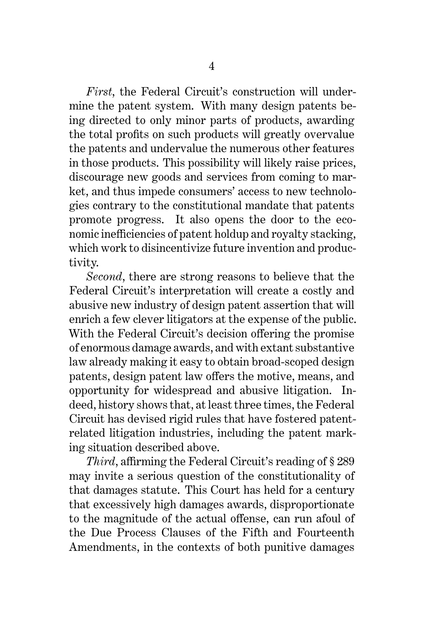*First*, the Federal Circuit's construction will undermine the patent system. With many design patents being directed to only minor parts of products, awarding the total profits on such products will greatly overvalue the patents and undervalue the numerous other features in those products. This possibility will likely raise prices, discourage new goods and services from coming to market, and thus impede consumers' access to new technologies contrary to the constitutional mandate that patents promote progress. It also opens the door to the economic inefficiencies of patent holdup and royalty stacking, which work to disincentivize future invention and productivity.

*Second*, there are strong reasons to believe that the Federal Circuit's interpretation will create a costly and abusive new industry of design patent assertion that will enrich a few clever litigators at the expense of the public. With the Federal Circuit's decision offering the promise of enormous damage awards, and with extant substantive law already making it easy to obtain broad-scoped design patents, design patent law offers the motive, means, and opportunity for widespread and abusive litigation. Indeed, history shows that, at least three times, the Federal Circuit has devised rigid rules that have fostered patentrelated litigation industries, including the patent marking situation described above.

*Third*, affirming the Federal Circuit's reading of § 289 may invite a serious question of the constitutionality of that damages statute. This Court has held for a century that excessively high damages awards, disproportionate to the magnitude of the actual offense, can run afoul of the Due Process Clauses of the Fifth and Fourteenth Amendments, in the contexts of both punitive damages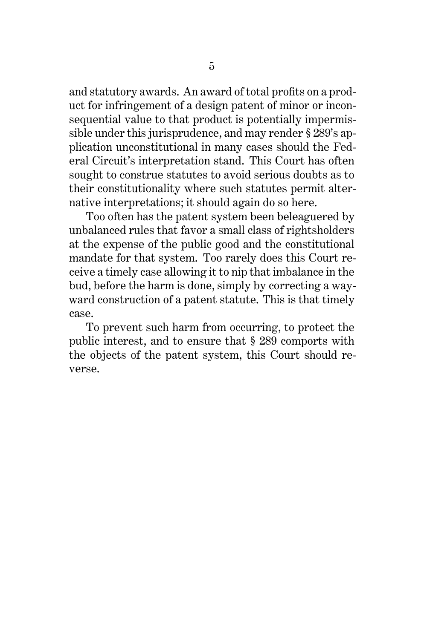and statutory awards. An award of total profits on a product for infringement of a design patent of minor or inconsequential value to that product is potentially impermissible under this jurisprudence, and may render § 289's application unconstitutional in many cases should the Federal Circuit's interpretation stand. This Court has often sought to construe statutes to avoid serious doubts as to their constitutionality where such statutes permit alternative interpretations; it should again do so here.

Too often has the patent system been beleaguered by unbalanced rules that favor a small class of rightsholders at the expense of the public good and the constitutional mandate for that system. Too rarely does this Court receive a timely case allowing it to nip that imbalance in the bud, before the harm is done, simply by correcting a wayward construction of a patent statute. This is that timely case.

To prevent such harm from occurring, to protect the public interest, and to ensure that § 289 comports with the objects of the patent system, this Court should reverse.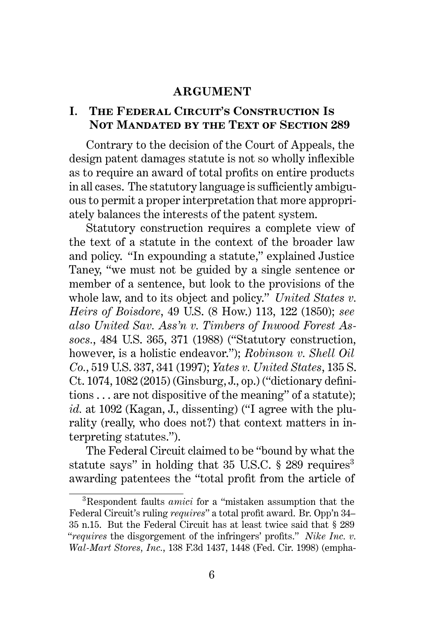#### **ARGUMENT**

#### **I. The Federal Circuit's Construction Is Not Mandated by the Text of Section 289**

Contrary to the decision of the Court of Appeals, the design patent damages statute is not so wholly inflexible as to require an award of total profits on entire products in all cases. The statutory language is sufficiently ambiguous to permit a proper interpretation that more appropriately balances the interests of the patent system.

Statutory construction requires a complete view of the text of a statute in the context of the broader law and policy. "In expounding a statute," explained Justice Taney, "we must not be guided by a single sentence or member of a sentence, but look to the provisions of the whole law, and to its object and policy." *United States v. Heirs of Boisdore*, 49 U.S. (8 How.) 113, 122 (1850); *see also United Sav. Ass'n v. Timbers of Inwood Forest Assocs.*, 484 U.S. 365, 371 (1988) ("Statutory construction, however, is a holistic endeavor."); *Robinson v. Shell Oil Co.*, 519 U.S. 337, 341 (1997); *Yates v. United States*, 135 S. Ct. 1074, 1082 (2015) (Ginsburg, J., op.) ("dictionary definitions . . . are not dispositive of the meaning" of a statute); *id.* at 1092 (Kagan, J., dissenting) ("I agree with the plurality (really, who does not?) that context matters in interpreting statutes.").

The Federal Circuit claimed to be "bound by what the statute says" in holding that  $35$  U.S.C. § 289 requires<sup>3</sup> awarding patentees the "total profit from the article of

<sup>3</sup>Respondent faults *amici* for a "mistaken assumption that the Federal Circuit's ruling *requires*" a total profit award. Br. Opp'n 34– 35 n.15. But the Federal Circuit has at least twice said that § 289 "*requires* the disgorgement of the infringers' profits." *Nike Inc. v. Wal-Mart Stores, Inc.*, 138 F.3d 1437, 1448 (Fed. Cir. 1998) (empha-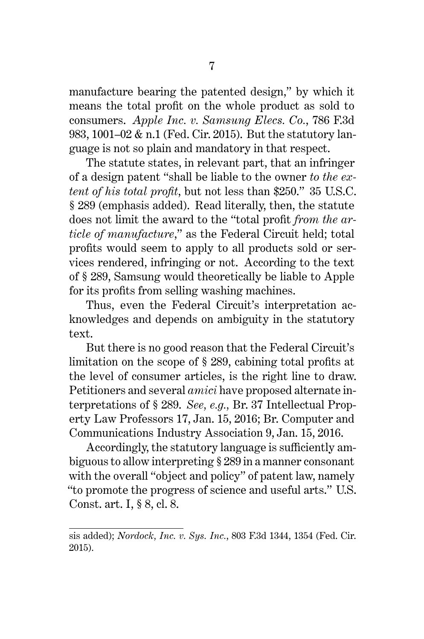manufacture bearing the patented design," by which it means the total profit on the whole product as sold to consumers. *Apple Inc. v. Samsung Elecs. Co.*, 786 F.3d 983, 1001–02 & n.1 (Fed. Cir. 2015). But the statutory language is not so plain and mandatory in that respect.

The statute states, in relevant part, that an infringer of a design patent "shall be liable to the owner *to the extent of his total profit*, but not less than \$250." 35 U.S.C. § 289 (emphasis added). Read literally, then, the statute does not limit the award to the "total profit *from the article of manufacture*," as the Federal Circuit held; total profits would seem to apply to all products sold or services rendered, infringing or not. According to the text of § 289, Samsung would theoretically be liable to Apple for its profits from selling washing machines.

Thus, even the Federal Circuit's interpretation acknowledges and depends on ambiguity in the statutory text.

But there is no good reason that the Federal Circuit's limitation on the scope of § 289, cabining total profits at the level of consumer articles, is the right line to draw. Petitioners and several *amici* have proposed alternate interpretations of § 289. *See, e.g.,* Br. 37 Intellectual Property Law Professors 17, Jan. 15, 2016; Br. Computer and Communications Industry Association 9, Jan. 15, 2016.

Accordingly, the statutory language is sufficiently ambiguous to allow interpreting § 289 in a manner consonant with the overall "object and policy" of patent law, namely "to promote the progress of science and useful arts." U.S. Const. art. I, § 8, cl. 8.

sis added); *Nordock, Inc. v. Sys. Inc.*, 803 F.3d 1344, 1354 (Fed. Cir. 2015).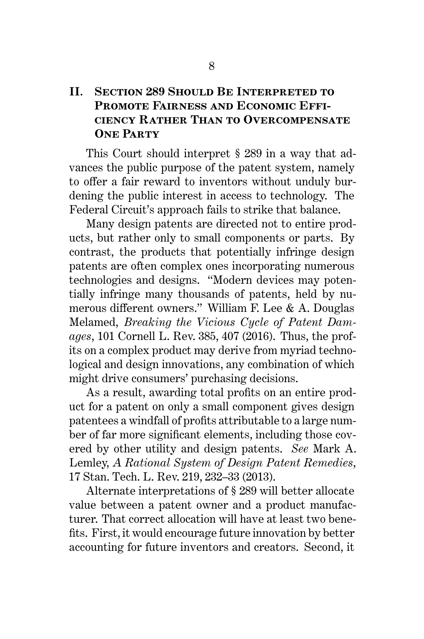# **II. Section 289 Should Be Interpreted to Promote Fairness and Economic Efficiency Rather Than to Overcompensate One Party**

This Court should interpret § 289 in a way that advances the public purpose of the patent system, namely to offer a fair reward to inventors without unduly burdening the public interest in access to technology. The Federal Circuit's approach fails to strike that balance.

Many design patents are directed not to entire products, but rather only to small components or parts. By contrast, the products that potentially infringe design patents are often complex ones incorporating numerous technologies and designs. "Modern devices may potentially infringe many thousands of patents, held by numerous different owners." William F. Lee & A. Douglas Melamed, *Breaking the Vicious Cycle of Patent Damages*, 101 Cornell L. Rev. 385, 407 (2016). Thus, the profits on a complex product may derive from myriad technological and design innovations, any combination of which might drive consumers' purchasing decisions.

As a result, awarding total profits on an entire product for a patent on only a small component gives design patentees a windfall of profits attributable to a large number of far more significant elements, including those covered by other utility and design patents. *See* Mark A. Lemley, *A Rational System of Design Patent Remedies*, 17 Stan. Tech. L. Rev. 219, 232–33 (2013).

Alternate interpretations of § 289 will better allocate value between a patent owner and a product manufacturer. That correct allocation will have at least two benefits. First, it would encourage future innovation by better accounting for future inventors and creators. Second, it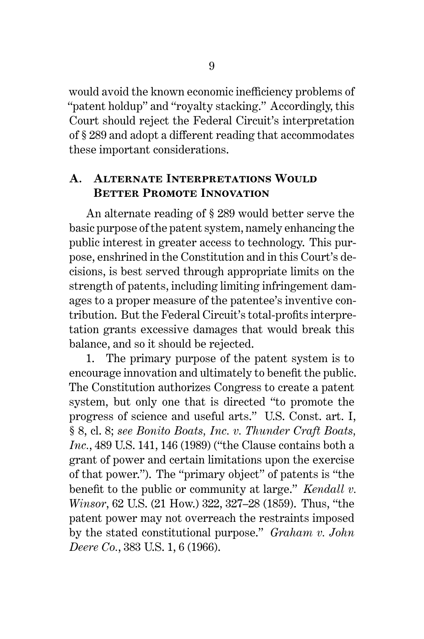would avoid the known economic inefficiency problems of "patent holdup" and "royalty stacking." Accordingly, this Court should reject the Federal Circuit's interpretation of § 289 and adopt a different reading that accommodates these important considerations.

### **A. ALTERNATE INTERPRETATIONS WOULD BETTER PROMOTE INNOVATION**

An alternate reading of § 289 would better serve the basic purpose of the patent system, namely enhancing the public interest in greater access to technology. This purpose, enshrined in the Constitution and in this Court's decisions, is best served through appropriate limits on the strength of patents, including limiting infringement damages to a proper measure of the patentee's inventive contribution. But the Federal Circuit's total-profits interpretation grants excessive damages that would break this balance, and so it should be rejected.

1. The primary purpose of the patent system is to encourage innovation and ultimately to benefit the public. The Constitution authorizes Congress to create a patent system, but only one that is directed "to promote the progress of science and useful arts." U.S. Const. art. I, § 8, cl. 8; *see Bonito Boats, Inc. v. Thunder Craft Boats, Inc.*, 489 U.S. 141, 146 (1989) ("the Clause contains both a grant of power and certain limitations upon the exercise of that power."). The "primary object" of patents is "the benefit to the public or community at large." *Kendall v. Winsor*, 62 U.S. (21 How.) 322, 327–28 (1859). Thus, "the patent power may not overreach the restraints imposed by the stated constitutional purpose." *Graham v. John Deere Co.*, 383 U.S. 1, 6 (1966).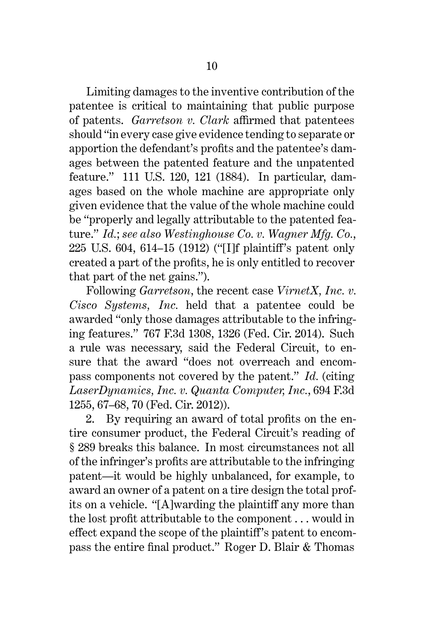Limiting damages to the inventive contribution of the patentee is critical to maintaining that public purpose of patents. *Garretson v. Clark* affirmed that patentees should "in every case give evidence tending to separate or apportion the defendant's profits and the patentee's damages between the patented feature and the unpatented feature." 111 U.S. 120, 121 (1884). In particular, damages based on the whole machine are appropriate only given evidence that the value of the whole machine could be "properly and legally attributable to the patented feature." *Id.*; *see also Westinghouse Co. v. Wagner Mfg. Co.*, 225 U.S. 604, 614–15 (1912) ("[I]f plaintiff's patent only created a part of the profits, he is only entitled to recover that part of the net gains.").

Following *Garretson*, the recent case *VirnetX, Inc. v. Cisco Systems, Inc.* held that a patentee could be awarded "only those damages attributable to the infringing features." 767 F.3d 1308, 1326 (Fed. Cir. 2014). Such a rule was necessary, said the Federal Circuit, to ensure that the award "does not overreach and encompass components not covered by the patent." *Id.* (citing *LaserDynamics, Inc. v. Quanta Computer, Inc.*, 694 F.3d 1255, 67–68, 70 (Fed. Cir. 2012)).

2. By requiring an award of total profits on the entire consumer product, the Federal Circuit's reading of § 289 breaks this balance. In most circumstances not all of the infringer's profits are attributable to the infringing patent—it would be highly unbalanced, for example, to award an owner of a patent on a tire design the total profits on a vehicle. "[A]warding the plaintiff any more than the lost profit attributable to the component . . . would in effect expand the scope of the plaintiff's patent to encompass the entire final product." Roger D. Blair & Thomas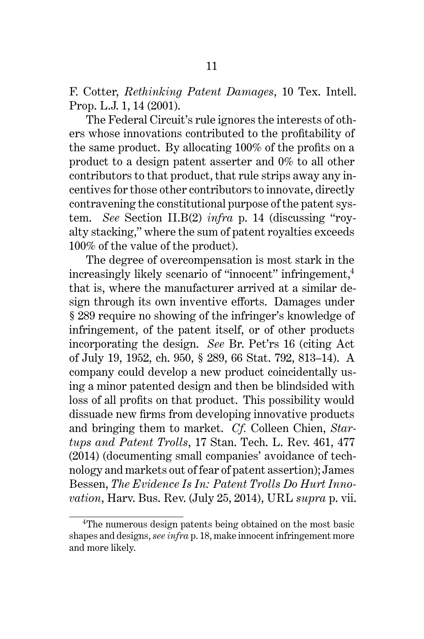F. Cotter, *Rethinking Patent Damages*, 10 Tex. Intell. Prop. L.J. 1, 14 (2001).

The Federal Circuit's rule ignores the interests of others whose innovations contributed to the profitability of the same product. By allocating 100% of the profits on a product to a design patent asserter and 0% to all other contributors to that product, that rule strips away any incentives for those other contributors to innovate, directly contravening the constitutional purpose of the patent system. *See* Section II.B(2) *infra* p. 14 (discussing "royalty stacking," where the sum of patent royalties exceeds 100% of the value of the product).

The degree of overcompensation is most stark in the increasingly likely scenario of "innocent" infringement,<sup>4</sup> that is, where the manufacturer arrived at a similar design through its own inventive efforts. Damages under § 289 require no showing of the infringer's knowledge of infringement, of the patent itself, or of other products incorporating the design. *See* Br. Pet'rs 16 (citing Act of July 19, 1952, ch. 950, § 289, 66 Stat. 792, 813–14). A company could develop a new product coincidentally using a minor patented design and then be blindsided with loss of all profits on that product. This possibility would dissuade new firms from developing innovative products and bringing them to market. *Cf.* Colleen Chien, *Startups and Patent Trolls*, 17 Stan. Tech. L. Rev. 461, 477 (2014) (documenting small companies' avoidance of technology and markets out of fear of patent assertion); James Bessen, *The Evidence Is In: Patent Trolls Do Hurt Innovation*, Harv. Bus. Rev. (July 25, 2014), URL *supra* p. vii.

<sup>4</sup>The numerous design patents being obtained on the most basic shapes and designs, *see infra* p. 18, make innocent infringement more and more likely.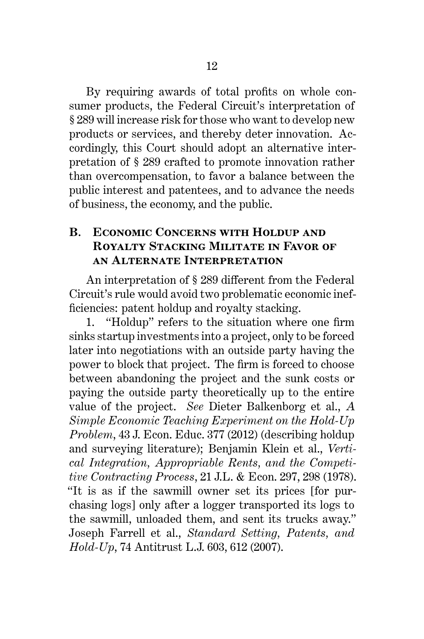By requiring awards of total profits on whole consumer products, the Federal Circuit's interpretation of § 289 will increase risk for those who want to develop new products or services, and thereby deter innovation. Accordingly, this Court should adopt an alternative interpretation of § 289 crafted to promote innovation rather than overcompensation, to favor a balance between the public interest and patentees, and to advance the needs of business, the economy, and the public.

# **B. Economic Concerns with Holdup and Royalty Stacking Militate in Favor of an Alternate Interpretation**

An interpretation of § 289 different from the Federal Circuit's rule would avoid two problematic economic inefficiencies: patent holdup and royalty stacking.

1. "Holdup" refers to the situation where one firm sinks startup investments into a project, only to be forced later into negotiations with an outside party having the power to block that project. The firm is forced to choose between abandoning the project and the sunk costs or paying the outside party theoretically up to the entire value of the project. *See* Dieter Balkenborg et al., *A Simple Economic Teaching Experiment on the Hold-Up Problem*, 43 J. Econ. Educ. 377 (2012) (describing holdup and surveying literature); Benjamin Klein et al., *Vertical Integration, Appropriable Rents, and the Competitive Contracting Process*, 21 J.L. & Econ. 297, 298 (1978). "It is as if the sawmill owner set its prices [for purchasing logs] only after a logger transported its logs to the sawmill, unloaded them, and sent its trucks away." Joseph Farrell et al., *Standard Setting, Patents, and Hold-Up*, 74 Antitrust L.J. 603, 612 (2007).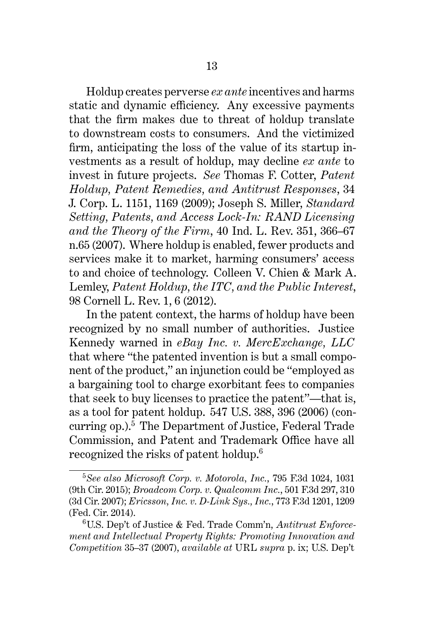Holdup creates perverse *ex ante* incentives and harms static and dynamic efficiency. Any excessive payments that the firm makes due to threat of holdup translate to downstream costs to consumers. And the victimized firm, anticipating the loss of the value of its startup investments as a result of holdup, may decline *ex ante* to invest in future projects. *See* Thomas F. Cotter, *Patent Holdup, Patent Remedies, and Antitrust Responses*, 34 J. Corp. L. 1151, 1169 (2009); Joseph S. Miller, *Standard Setting, Patents, and Access Lock-In: RAND Licensing and the Theory of the Firm*, 40 Ind. L. Rev. 351, 366–67 n.65 (2007). Where holdup is enabled, fewer products and services make it to market, harming consumers' access to and choice of technology. Colleen V. Chien & Mark A. Lemley, *Patent Holdup, the ITC, and the Public Interest*, 98 Cornell L. Rev. 1, 6 (2012).

In the patent context, the harms of holdup have been recognized by no small number of authorities. Justice Kennedy warned in *eBay Inc. v. MercExchange, LLC* that where "the patented invention is but a small component of the product," an injunction could be "employed as a bargaining tool to charge exorbitant fees to companies that seek to buy licenses to practice the patent"—that is, as a tool for patent holdup. 547 U.S. 388, 396 (2006) (concurring  $op.$ <sup>5</sup> The Department of Justice, Federal Trade Commission, and Patent and Trademark Office have all recognized the risks of patent holdup.<sup>6</sup>

<sup>5</sup>*See also Microsoft Corp. v. Motorola, Inc.*, 795 F.3d 1024, 1031 (9th Cir. 2015); *Broadcom Corp. v. Qualcomm Inc.*, 501 F.3d 297, 310 (3d Cir. 2007); *Ericsson, Inc. v. D-Link Sys., Inc.*, 773 F.3d 1201, 1209 (Fed. Cir. 2014).

<sup>6</sup>U.S. Dep't of Justice & Fed. Trade Comm'n, *Antitrust Enforcement and Intellectual Property Rights: Promoting Innovation and Competition* 35–37 (2007), *available at* URL *supra* p. ix; U.S. Dep't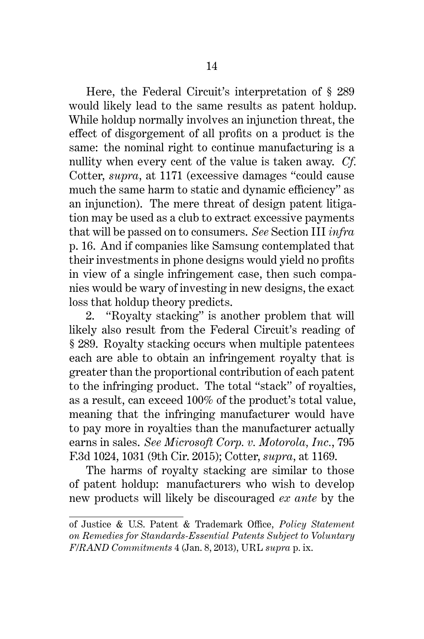Here, the Federal Circuit's interpretation of § 289 would likely lead to the same results as patent holdup. While holdup normally involves an injunction threat, the effect of disgorgement of all profits on a product is the same: the nominal right to continue manufacturing is a nullity when every cent of the value is taken away. *Cf.* Cotter, *supra*, at 1171 (excessive damages "could cause much the same harm to static and dynamic efficiency" as an injunction). The mere threat of design patent litigation may be used as a club to extract excessive payments that will be passed on to consumers. *See* Section III *infra* p. 16. And if companies like Samsung contemplated that their investments in phone designs would yield no profits in view of a single infringement case, then such companies would be wary of investing in new designs, the exact loss that holdup theory predicts.

2. "Royalty stacking" is another problem that will likely also result from the Federal Circuit's reading of § 289. Royalty stacking occurs when multiple patentees each are able to obtain an infringement royalty that is greater than the proportional contribution of each patent to the infringing product. The total "stack" of royalties, as a result, can exceed 100% of the product's total value, meaning that the infringing manufacturer would have to pay more in royalties than the manufacturer actually earns in sales. *See Microsoft Corp. v. Motorola, Inc.*, 795 F.3d 1024, 1031 (9th Cir. 2015); Cotter, *supra*, at 1169.

The harms of royalty stacking are similar to those of patent holdup: manufacturers who wish to develop new products will likely be discouraged *ex ante* by the

of Justice & U.S. Patent & Trademark Office, *Policy Statement on Remedies for Standards-Essential Patents Subject to Voluntary F/RAND Commitments* 4 (Jan. 8, 2013), URL *supra* p. ix.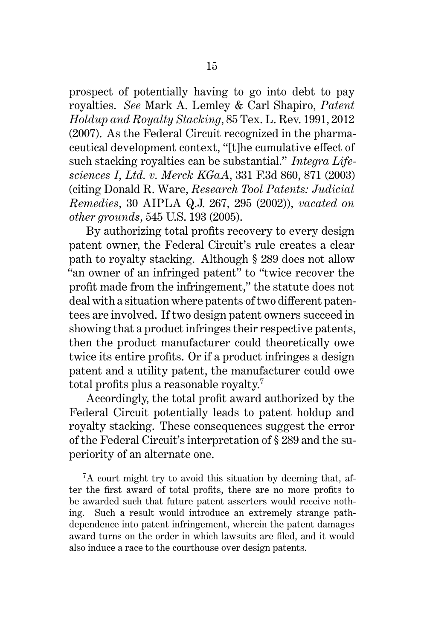prospect of potentially having to go into debt to pay royalties. *See* Mark A. Lemley & Carl Shapiro, *Patent Holdup and Royalty Stacking*, 85 Tex. L. Rev. 1991, 2012 (2007). As the Federal Circuit recognized in the pharmaceutical development context, "[t]he cumulative effect of such stacking royalties can be substantial." *Integra Lifesciences I, Ltd. v. Merck KGaA*, 331 F.3d 860, 871 (2003) (citing Donald R. Ware, *Research Tool Patents: Judicial Remedies*, 30 AIPLA Q.J. 267, 295 (2002)), *vacated on other grounds*, 545 U.S. 193 (2005).

By authorizing total profits recovery to every design patent owner, the Federal Circuit's rule creates a clear path to royalty stacking. Although § 289 does not allow "an owner of an infringed patent" to "twice recover the profit made from the infringement," the statute does not deal with a situation where patents of two different patentees are involved. If two design patent owners succeed in showing that a product infringes their respective patents, then the product manufacturer could theoretically owe twice its entire profits. Or if a product infringes a design patent and a utility patent, the manufacturer could owe total profits plus a reasonable royalty.<sup>7</sup>

Accordingly, the total profit award authorized by the Federal Circuit potentially leads to patent holdup and royalty stacking. These consequences suggest the error of the Federal Circuit's interpretation of § 289 and the superiority of an alternate one.

<sup>7</sup>A court might try to avoid this situation by deeming that, after the first award of total profits, there are no more profits to be awarded such that future patent asserters would receive nothing. Such a result would introduce an extremely strange pathdependence into patent infringement, wherein the patent damages award turns on the order in which lawsuits are filed, and it would also induce a race to the courthouse over design patents.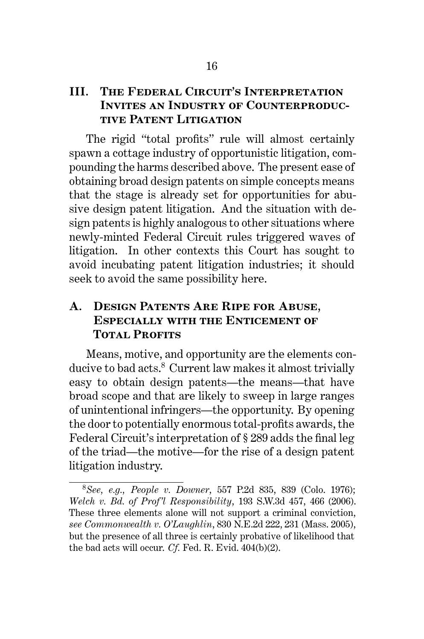## **III. The Federal Circuit's Interpretation Invites an Industry of Counterproductive Patent Litigation**

The rigid "total profits" rule will almost certainly spawn a cottage industry of opportunistic litigation, compounding the harms described above. The present ease of obtaining broad design patents on simple concepts means that the stage is already set for opportunities for abusive design patent litigation. And the situation with design patents is highly analogous to other situations where newly-minted Federal Circuit rules triggered waves of litigation. In other contexts this Court has sought to avoid incubating patent litigation industries; it should seek to avoid the same possibility here.

# **A. Design Patents Are Ripe for Abuse, Especially with the Enticement of TOTAL PROFITS**

Means, motive, and opportunity are the elements conducive to bad acts.<sup>8</sup> Current law makes it almost trivially easy to obtain design patents—the means—that have broad scope and that are likely to sweep in large ranges of unintentional infringers—the opportunity. By opening the door to potentially enormous total-profits awards, the Federal Circuit's interpretation of § 289 adds the final leg of the triad—the motive—for the rise of a design patent litigation industry.

<sup>8</sup>*See, e.g., People v. Downer*, 557 P.2d 835, 839 (Colo. 1976); *Welch v. Bd. of Prof'l Responsibility*, 193 S.W.3d 457, 466 (2006). These three elements alone will not support a criminal conviction, *see Commonwealth v. O'Laughlin*, 830 N.E.2d 222, 231 (Mass. 2005), but the presence of all three is certainly probative of likelihood that the bad acts will occur. *Cf.* Fed. R. Evid. 404(b)(2).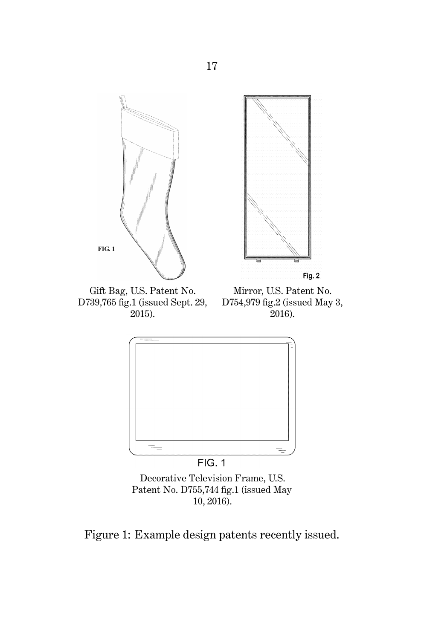

Decorative Television Frame, U.S. Patent No. D755,744 fig.1 (issued May 10, 2016).

Figure 1: Example design patents recently issued.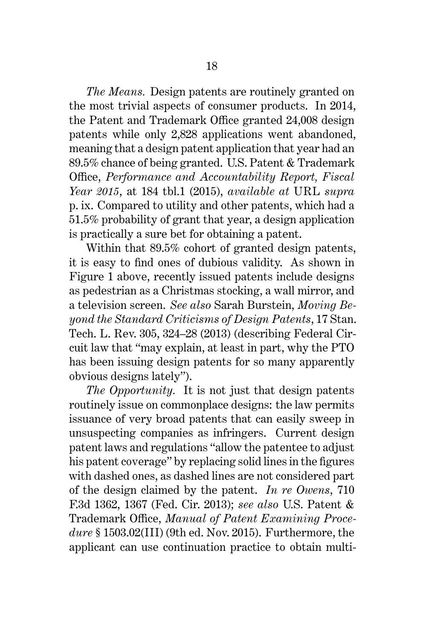*The Means.* Design patents are routinely granted on the most trivial aspects of consumer products. In 2014, the Patent and Trademark Office granted 24,008 design patents while only 2,828 applications went abandoned, meaning that a design patent application that year had an 89.5% chance of being granted. U.S. Patent & Trademark Office, *Performance and Accountability Report, Fiscal Year 2015*, at 184 tbl.1 (2015), *available at* URL *supra* p. ix. Compared to utility and other patents, which had a 51.5% probability of grant that year, a design application is practically a sure bet for obtaining a patent.

Within that 89.5% cohort of granted design patents, it is easy to find ones of dubious validity. As shown in Figure 1 above, recently issued patents include designs as pedestrian as a Christmas stocking, a wall mirror, and a television screen. *See also* Sarah Burstein, *Moving Beyond the Standard Criticisms of Design Patents*, 17 Stan. Tech. L. Rev. 305, 324–28 (2013) (describing Federal Circuit law that "may explain, at least in part, why the PTO has been issuing design patents for so many apparently obvious designs lately").

*The Opportunity.* It is not just that design patents routinely issue on commonplace designs: the law permits issuance of very broad patents that can easily sweep in unsuspecting companies as infringers. Current design patent laws and regulations "allow the patentee to adjust his patent coverage" by replacing solid lines in the figures with dashed ones, as dashed lines are not considered part of the design claimed by the patent. *In re Owens*, 710 F.3d 1362, 1367 (Fed. Cir. 2013); *see also* U.S. Patent & Trademark Office, *Manual of Patent Examining Procedure* § 1503.02(III) (9th ed. Nov. 2015). Furthermore, the applicant can use continuation practice to obtain multi-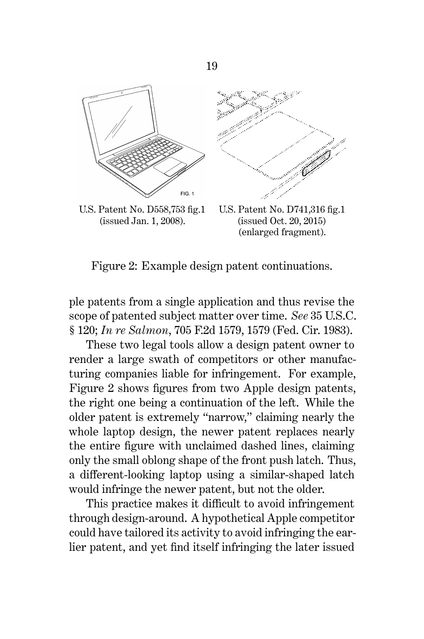

(issued Jan. 1, 2008).

(issued Oct. 20, 2015) (enlarged fragment).

Figure 2: Example design patent continuations.

ple patents from a single application and thus revise the scope of patented subject matter over time. *See* 35 U.S.C. § 120; *In re Salmon*, 705 F.2d 1579, 1579 (Fed. Cir. 1983).

These two legal tools allow a design patent owner to render a large swath of competitors or other manufacturing companies liable for infringement. For example, Figure 2 shows figures from two Apple design patents, the right one being a continuation of the left. While the older patent is extremely "narrow," claiming nearly the whole laptop design, the newer patent replaces nearly the entire figure with unclaimed dashed lines, claiming only the small oblong shape of the front push latch. Thus, a different-looking laptop using a similar-shaped latch would infringe the newer patent, but not the older.

This practice makes it difficult to avoid infringement through design-around. A hypothetical Apple competitor could have tailored its activity to avoid infringing the earlier patent, and yet find itself infringing the later issued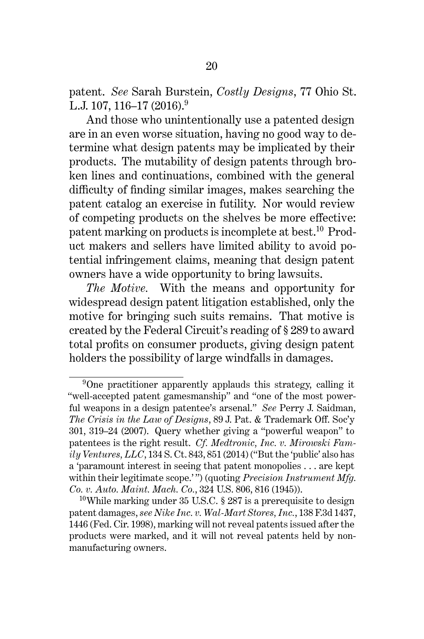patent. *See* Sarah Burstein, *Costly Designs*, 77 Ohio St. L.J. 107, 116–17 (2016).<sup>9</sup>

And those who unintentionally use a patented design are in an even worse situation, having no good way to determine what design patents may be implicated by their products. The mutability of design patents through broken lines and continuations, combined with the general difficulty of finding similar images, makes searching the patent catalog an exercise in futility. Nor would review of competing products on the shelves be more effective: patent marking on products is incomplete at best.<sup>10</sup> Product makers and sellers have limited ability to avoid potential infringement claims, meaning that design patent owners have a wide opportunity to bring lawsuits.

*The Motive.* With the means and opportunity for widespread design patent litigation established, only the motive for bringing such suits remains. That motive is created by the Federal Circuit's reading of § 289 to award total profits on consumer products, giving design patent holders the possibility of large windfalls in damages.

<sup>9</sup>One practitioner apparently applauds this strategy, calling it "well-accepted patent gamesmanship" and "one of the most powerful weapons in a design patentee's arsenal." *See* Perry J. Saidman, *The Crisis in the Law of Designs*, 89 J. Pat. & Trademark Off. Soc'y 301, 319–24 (2007). Query whether giving a "powerful weapon" to patentees is the right result. *Cf. Medtronic, Inc. v. Mirowski Family Ventures, LLC*, 134 S. Ct. 843, 851 (2014) ("But the 'public' also has a 'paramount interest in seeing that patent monopolies . . . are kept within their legitimate scope.' ") (quoting *Precision Instrument Mfg. Co. v. Auto. Maint. Mach. Co.*, 324 U.S. 806, 816 (1945)).

<sup>&</sup>lt;sup>10</sup>While marking under 35 U.S.C.  $\S 287$  is a prerequisite to design patent damages, *see Nike Inc. v. Wal-Mart Stores, Inc.*, 138 F.3d 1437, 1446 (Fed. Cir. 1998), marking will not reveal patents issued after the products were marked, and it will not reveal patents held by nonmanufacturing owners.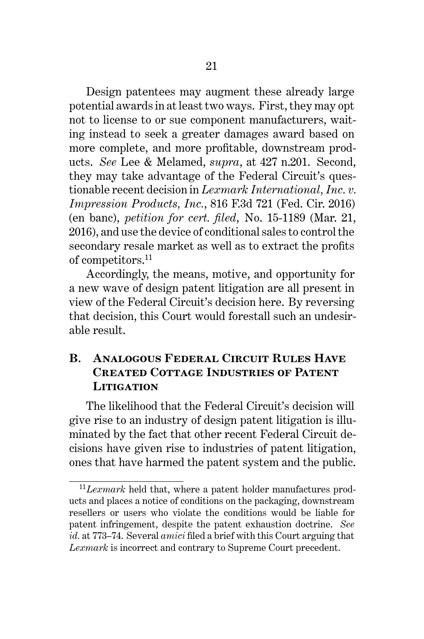Design patentees may augment these already large potential awards in at least two ways. First, they may opt not to license to or sue component manufacturers, waiting instead to seek a greater damages award based on more complete, and more profitable, downstream products. *See* Lee & Melamed, *supra*, at 427 n.201. Second, they may take advantage of the Federal Circuit's questionable recent decision in *Lexmark International, Inc. v. Impression Products, Inc.*, 816 F.3d 721 (Fed. Cir. 2016) (en banc), *petition for cert. filed*, No. 15-1189 (Mar. 21, 2016), and use the device of conditional sales to control the secondary resale market as well as to extract the profits of competitors.<sup>11</sup>

Accordingly, the means, motive, and opportunity for a new wave of design patent litigation are all present in view of the Federal Circuit's decision here. By reversing that decision, this Court would forestall such an undesirable result.

## **B. Analogous Federal Circuit Rules Have Created Cottage Industries of Patent Litigation**

The likelihood that the Federal Circuit's decision will give rise to an industry of design patent litigation is illuminated by the fact that other recent Federal Circuit decisions have given rise to industries of patent litigation, ones that have harmed the patent system and the public.

<sup>11</sup>*Lexmark* held that, where a patent holder manufactures products and places a notice of conditions on the packaging, downstream resellers or users who violate the conditions would be liable for patent infringement, despite the patent exhaustion doctrine. *See id.* at 773–74. Several *amici* filed a brief with this Court arguing that *Lexmark* is incorrect and contrary to Supreme Court precedent.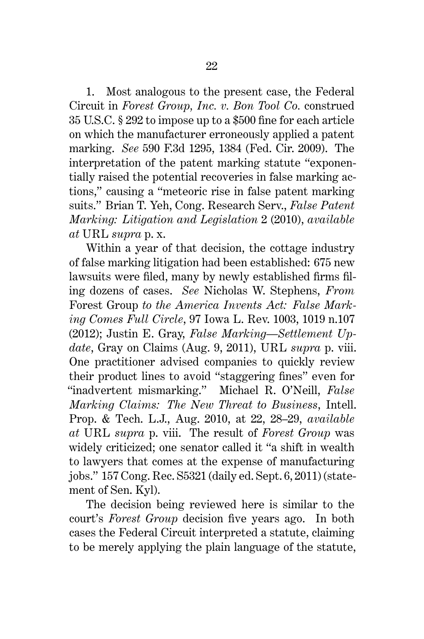1. Most analogous to the present case, the Federal Circuit in *Forest Group, Inc. v. Bon Tool Co.* construed 35 U.S.C. § 292 to impose up to a \$500 fine for each article on which the manufacturer erroneously applied a patent marking. *See* 590 F.3d 1295, 1384 (Fed. Cir. 2009). The interpretation of the patent marking statute "exponentially raised the potential recoveries in false marking actions," causing a "meteoric rise in false patent marking suits." Brian T. Yeh, Cong. Research Serv., *False Patent Marking: Litigation and Legislation* 2 (2010), *available at* URL *supra* p. x.

Within a year of that decision, the cottage industry of false marking litigation had been established: 675 new lawsuits were filed, many by newly established firms filing dozens of cases. *See* Nicholas W. Stephens, *From* Forest Group *to the America Invents Act: False Marking Comes Full Circle*, 97 Iowa L. Rev. 1003, 1019 n.107 (2012); Justin E. Gray, *False Marking—Settlement Update*, Gray on Claims (Aug. 9, 2011), URL *supra* p. viii. One practitioner advised companies to quickly review their product lines to avoid "staggering fines" even for "inadvertent mismarking." Michael R. O'Neill, *False Marking Claims: The New Threat to Business*, Intell. Prop. & Tech. L.J., Aug. 2010, at 22, 28–29, *available at* URL *supra* p. viii. The result of *Forest Group* was widely criticized; one senator called it "a shift in wealth to lawyers that comes at the expense of manufacturing jobs." 157 Cong. Rec. S5321 (daily ed. Sept. 6, 2011) (statement of Sen. Kyl).

The decision being reviewed here is similar to the court's *Forest Group* decision five years ago. In both cases the Federal Circuit interpreted a statute, claiming to be merely applying the plain language of the statute,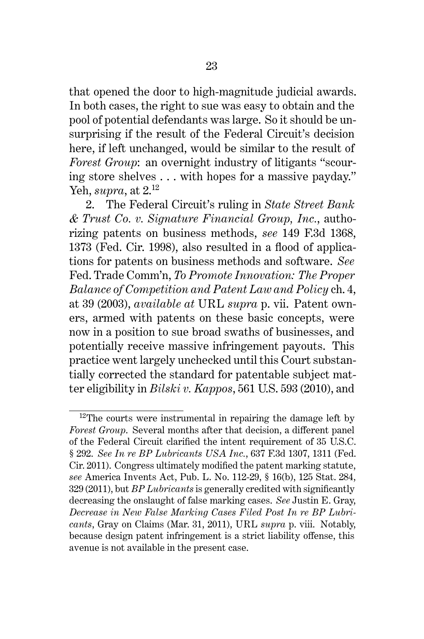that opened the door to high-magnitude judicial awards. In both cases, the right to sue was easy to obtain and the pool of potential defendants was large. So it should be unsurprising if the result of the Federal Circuit's decision here, if left unchanged, would be similar to the result of *Forest Group*: an overnight industry of litigants "scouring store shelves . . . with hopes for a massive payday." Yeh, *supra*, at 2.<sup>12</sup>

2. The Federal Circuit's ruling in *State Street Bank & Trust Co. v. Signature Financial Group, Inc.*, authorizing patents on business methods, *see* 149 F.3d 1368, 1373 (Fed. Cir. 1998), also resulted in a flood of applications for patents on business methods and software. *See* Fed. Trade Comm'n, *To Promote Innovation: The Proper Balance of Competition and Patent Law and Policy* ch. 4, at 39 (2003), *available at* URL *supra* p. vii. Patent owners, armed with patents on these basic concepts, were now in a position to sue broad swaths of businesses, and potentially receive massive infringement payouts. This practice went largely unchecked until this Court substantially corrected the standard for patentable subject matter eligibility in *Bilski v. Kappos*, 561 U.S. 593 (2010), and

 $12$ The courts were instrumental in repairing the damage left by *Forest Group*. Several months after that decision, a different panel of the Federal Circuit clarified the intent requirement of 35 U.S.C. § 292. *See In re BP Lubricants USA Inc.*, 637 F.3d 1307, 1311 (Fed. Cir. 2011). Congress ultimately modified the patent marking statute, *see* America Invents Act, Pub. L. No. 112-29, § 16(b), 125 Stat. 284, 329 (2011), but *BP Lubricants* is generally credited with significantly decreasing the onslaught of false marking cases. *See* Justin E. Gray, *Decrease in New False Marking Cases Filed Post In re BP Lubricants*, Gray on Claims (Mar. 31, 2011), URL *supra* p. viii. Notably, because design patent infringement is a strict liability offense, this avenue is not available in the present case.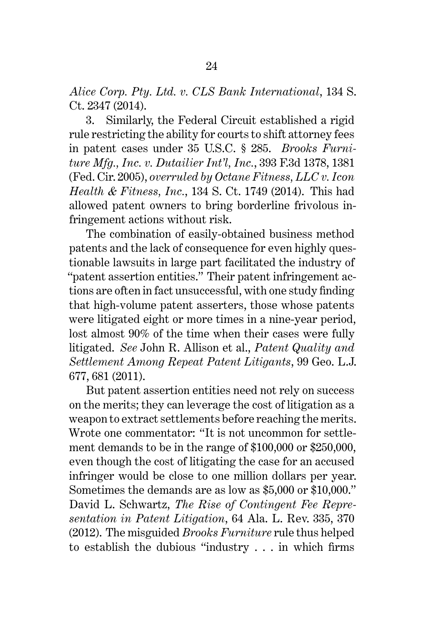*Alice Corp. Pty. Ltd. v. CLS Bank International*, 134 S. Ct. 2347 (2014).

3. Similarly, the Federal Circuit established a rigid rule restricting the ability for courts to shift attorney fees in patent cases under 35 U.S.C. § 285. *Brooks Furniture Mfg., Inc. v. Dutailier Int'l, Inc.*, 393 F.3d 1378, 1381 (Fed. Cir. 2005), *overruled by Octane Fitness, LLC v. Icon Health & Fitness, Inc.*, 134 S. Ct. 1749 (2014). This had allowed patent owners to bring borderline frivolous infringement actions without risk.

The combination of easily-obtained business method patents and the lack of consequence for even highly questionable lawsuits in large part facilitated the industry of "patent assertion entities." Their patent infringement actions are often in fact unsuccessful, with one study finding that high-volume patent asserters, those whose patents were litigated eight or more times in a nine-year period, lost almost 90% of the time when their cases were fully litigated. *See* John R. Allison et al., *Patent Quality and Settlement Among Repeat Patent Litigants*, 99 Geo. L.J. 677, 681 (2011).

But patent assertion entities need not rely on success on the merits; they can leverage the cost of litigation as a weapon to extract settlements before reaching the merits. Wrote one commentator: "It is not uncommon for settlement demands to be in the range of \$100,000 or \$250,000, even though the cost of litigating the case for an accused infringer would be close to one million dollars per year. Sometimes the demands are as low as \$5,000 or \$10,000." David L. Schwartz, *The Rise of Contingent Fee Representation in Patent Litigation*, 64 Ala. L. Rev. 335, 370 (2012). The misguided *Brooks Furniture* rule thus helped to establish the dubious "industry . . . in which firms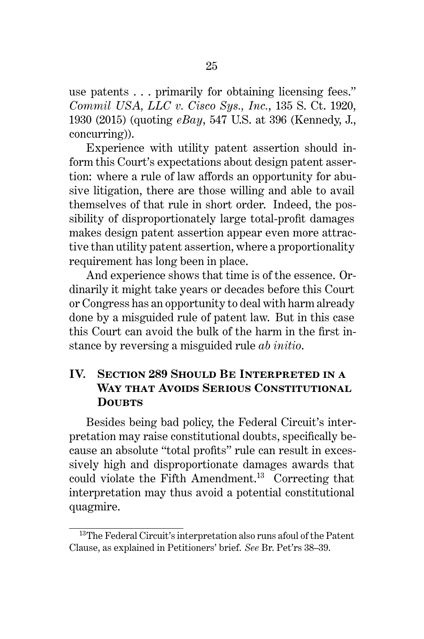use patents . . . primarily for obtaining licensing fees." *Commil USA, LLC v. Cisco Sys., Inc.*, 135 S. Ct. 1920, 1930 (2015) (quoting *eBay*, 547 U.S. at 396 (Kennedy, J., concurring)).

Experience with utility patent assertion should inform this Court's expectations about design patent assertion: where a rule of law affords an opportunity for abusive litigation, there are those willing and able to avail themselves of that rule in short order. Indeed, the possibility of disproportionately large total-profit damages makes design patent assertion appear even more attractive than utility patent assertion, where a proportionality requirement has long been in place.

And experience shows that time is of the essence. Ordinarily it might take years or decades before this Court or Congress has an opportunity to deal with harm already done by a misguided rule of patent law. But in this case this Court can avoid the bulk of the harm in the first instance by reversing a misguided rule *ab initio*.

# **IV. Section 289 Should Be Interpreted in a Way that Avoids Serious Constitutional DOURTS**

Besides being bad policy, the Federal Circuit's interpretation may raise constitutional doubts, specifically because an absolute "total profits" rule can result in excessively high and disproportionate damages awards that could violate the Fifth Amendment.<sup>13</sup> Correcting that interpretation may thus avoid a potential constitutional quagmire.

<sup>13</sup>The Federal Circuit's interpretation also runs afoul of the Patent Clause, as explained in Petitioners' brief. *See* Br. Pet'rs 38–39.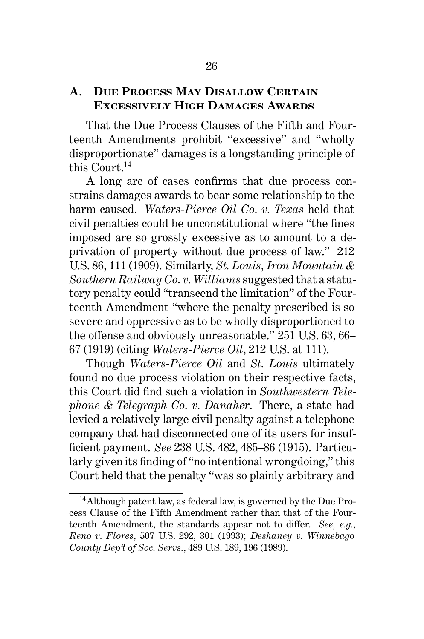#### **A. Due Process May Disallow Certain Excessively High Damages Awards**

That the Due Process Clauses of the Fifth and Fourteenth Amendments prohibit "excessive" and "wholly disproportionate" damages is a longstanding principle of this Court.<sup>14</sup>

A long arc of cases confirms that due process constrains damages awards to bear some relationship to the harm caused. *Waters-Pierce Oil Co. v. Texas* held that civil penalties could be unconstitutional where "the fines imposed are so grossly excessive as to amount to a deprivation of property without due process of law." 212 U.S. 86, 111 (1909). Similarly, *St. Louis, Iron Mountain & Southern Railway Co. v. Williams* suggested that a statutory penalty could "transcend the limitation" of the Fourteenth Amendment "where the penalty prescribed is so severe and oppressive as to be wholly disproportioned to the offense and obviously unreasonable." 251 U.S. 63, 66– 67 (1919) (citing *Waters-Pierce Oil*, 212 U.S. at 111).

Though *Waters-Pierce Oil* and *St. Louis* ultimately found no due process violation on their respective facts, this Court did find such a violation in *Southwestern Telephone & Telegraph Co. v. Danaher*. There, a state had levied a relatively large civil penalty against a telephone company that had disconnected one of its users for insufficient payment. *See* 238 U.S. 482, 485–86 (1915). Particularly given its finding of "no intentional wrongdoing," this Court held that the penalty "was so plainly arbitrary and

<sup>14</sup>Although patent law, as federal law, is governed by the Due Process Clause of the Fifth Amendment rather than that of the Fourteenth Amendment, the standards appear not to differ. *See, e.g., Reno v. Flores*, 507 U.S. 292, 301 (1993); *Deshaney v. Winnebago County Dep't of Soc. Servs.*, 489 U.S. 189, 196 (1989).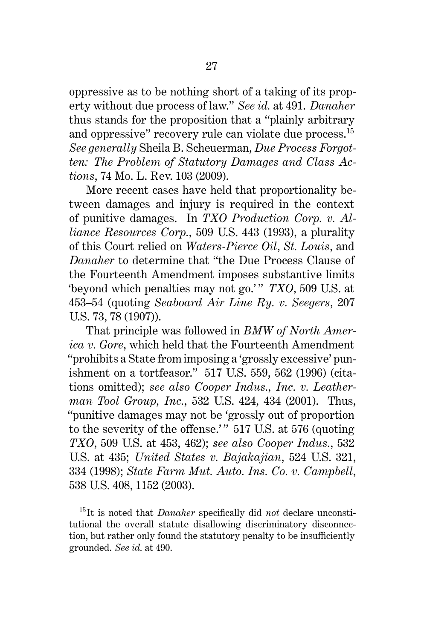oppressive as to be nothing short of a taking of its property without due process of law." *See id.* at 491. *Danaher* thus stands for the proposition that a "plainly arbitrary and oppressive" recovery rule can violate due process. $^{15}$ *See generally* Sheila B. Scheuerman, *Due Process Forgotten: The Problem of Statutory Damages and Class Actions*, 74 Mo. L. Rev. 103 (2009).

More recent cases have held that proportionality between damages and injury is required in the context of punitive damages. In *TXO Production Corp. v. Alliance Resources Corp.*, 509 U.S. 443 (1993), a plurality of this Court relied on *Waters-Pierce Oil*, *St. Louis*, and *Danaher* to determine that "the Due Process Clause of the Fourteenth Amendment imposes substantive limits beyond which penalties may not go.'" *TXO*, 509 U.S. at 453–54 (quoting *Seaboard Air Line Ry. v. Seegers*, 207 U.S. 73, 78 (1907)).

That principle was followed in *BMW of North America v. Gore*, which held that the Fourteenth Amendment "prohibits a State from imposing a 'grossly excessive' punishment on a tortfeasor." 517 U.S. 559, 562 (1996) (citations omitted); *see also Cooper Indus., Inc. v. Leatherman Tool Group, Inc.*, 532 U.S. 424, 434 (2001). Thus, "punitive damages may not be 'grossly out of proportion to the severity of the offense.'" 517 U.S. at 576 (quoting *TXO*, 509 U.S. at 453, 462); *see also Cooper Indus.*, 532 U.S. at 435; *United States v. Bajakajian*, 524 U.S. 321, 334 (1998); *State Farm Mut. Auto. Ins. Co. v. Campbell*, 538 U.S. 408, 1152 (2003).

<sup>15</sup>It is noted that *Danaher* specifically did *not* declare unconstitutional the overall statute disallowing discriminatory disconnection, but rather only found the statutory penalty to be insufficiently grounded. *See id.* at 490.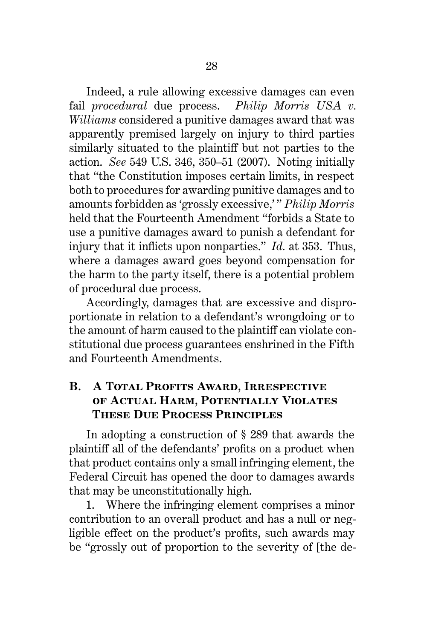Indeed, a rule allowing excessive damages can even fail *procedural* due process. *Philip Morris USA v. Williams* considered a punitive damages award that was apparently premised largely on injury to third parties similarly situated to the plaintiff but not parties to the action. *See* 549 U.S. 346, 350–51 (2007). Noting initially that "the Constitution imposes certain limits, in respect both to procedures for awarding punitive damages and to amounts forbidden as 'grossly excessive,' " *Philip Morris* held that the Fourteenth Amendment "forbids a State to use a punitive damages award to punish a defendant for injury that it inflicts upon nonparties." *Id.* at 353. Thus, where a damages award goes beyond compensation for the harm to the party itself, there is a potential problem of procedural due process.

Accordingly, damages that are excessive and disproportionate in relation to a defendant's wrongdoing or to the amount of harm caused to the plaintiff can violate constitutional due process guarantees enshrined in the Fifth and Fourteenth Amendments.

# **B. A Total Profits Award, Irrespective of Actual Harm, Potentially Violates These Due Process Principles**

In adopting a construction of § 289 that awards the plaintiff all of the defendants' profits on a product when that product contains only a small infringing element, the Federal Circuit has opened the door to damages awards that may be unconstitutionally high.

1. Where the infringing element comprises a minor contribution to an overall product and has a null or negligible effect on the product's profits, such awards may be "grossly out of proportion to the severity of [the de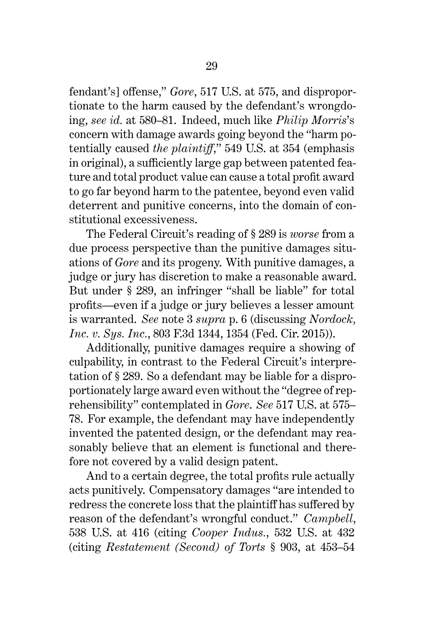fendant's] offense," *Gore*, 517 U.S. at 575, and disproportionate to the harm caused by the defendant's wrongdoing, *see id.* at 580–81. Indeed, much like *Philip Morris*'s concern with damage awards going beyond the "harm potentially caused *the plaintiff*," 549 U.S. at 354 (emphasis in original), a sufficiently large gap between patented feature and total product value can cause a total profit award to go far beyond harm to the patentee, beyond even valid deterrent and punitive concerns, into the domain of constitutional excessiveness.

The Federal Circuit's reading of § 289 is *worse* from a due process perspective than the punitive damages situations of *Gore* and its progeny. With punitive damages, a judge or jury has discretion to make a reasonable award. But under § 289, an infringer "shall be liable" for total profits—even if a judge or jury believes a lesser amount is warranted. *See* note 3 *supra* p. 6 (discussing *Nordock, Inc. v. Sys. Inc.*, 803 F.3d 1344, 1354 (Fed. Cir. 2015)).

Additionally, punitive damages require a showing of culpability, in contrast to the Federal Circuit's interpretation of § 289. So a defendant may be liable for a disproportionately large award even without the "degree of reprehensibility" contemplated in *Gore*. *See* 517 U.S. at 575– 78. For example, the defendant may have independently invented the patented design, or the defendant may reasonably believe that an element is functional and therefore not covered by a valid design patent.

And to a certain degree, the total profits rule actually acts punitively. Compensatory damages "are intended to redress the concrete loss that the plaintiff has suffered by reason of the defendant's wrongful conduct." *Campbell*, 538 U.S. at 416 (citing *Cooper Indus.*, 532 U.S. at 432 (citing *Restatement (Second) of Torts* § 903, at 453–54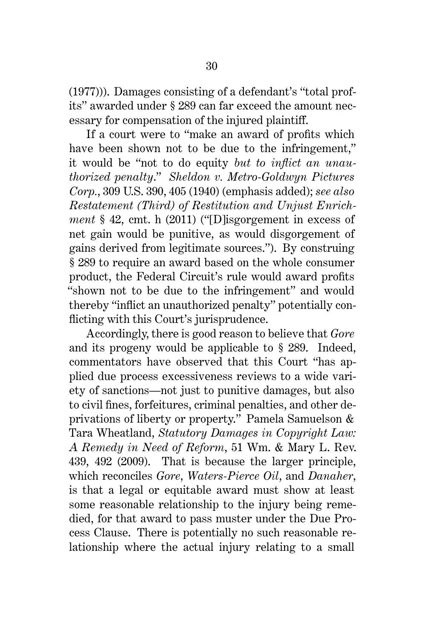(1977))). Damages consisting of a defendant's "total profits" awarded under § 289 can far exceed the amount necessary for compensation of the injured plaintiff.

If a court were to "make an award of profits which have been shown not to be due to the infringement," it would be "not to do equity *but to inflict an unauthorized penalty*." *Sheldon v. Metro-Goldwyn Pictures Corp.*, 309 U.S. 390, 405 (1940) (emphasis added); *see also Restatement (Third) of Restitution and Unjust Enrichment* § 42, cmt. h (2011) ("[D]isgorgement in excess of net gain would be punitive, as would disgorgement of gains derived from legitimate sources."). By construing § 289 to require an award based on the whole consumer product, the Federal Circuit's rule would award profits "shown not to be due to the infringement" and would thereby "inflict an unauthorized penalty" potentially conflicting with this Court's jurisprudence.

Accordingly, there is good reason to believe that *Gore* and its progeny would be applicable to § 289. Indeed, commentators have observed that this Court "has applied due process excessiveness reviews to a wide variety of sanctions—not just to punitive damages, but also to civil fines, forfeitures, criminal penalties, and other deprivations of liberty or property." Pamela Samuelson & Tara Wheatland, *Statutory Damages in Copyright Law: A Remedy in Need of Reform*, 51 Wm. & Mary L. Rev. 439, 492 (2009). That is because the larger principle, which reconciles *Gore*, *Waters-Pierce Oil*, and *Danaher*, is that a legal or equitable award must show at least some reasonable relationship to the injury being remedied, for that award to pass muster under the Due Process Clause. There is potentially no such reasonable relationship where the actual injury relating to a small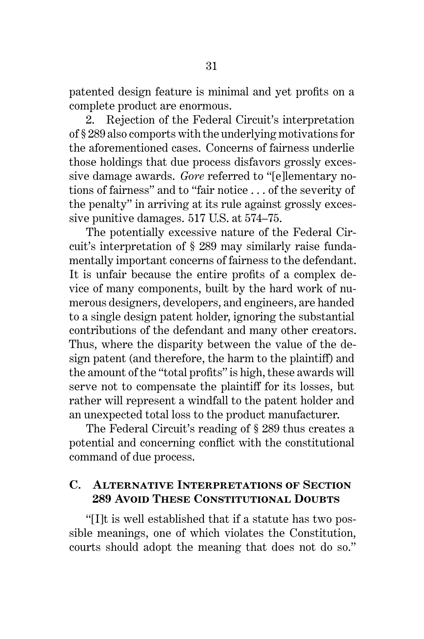patented design feature is minimal and yet profits on a complete product are enormous.

2. Rejection of the Federal Circuit's interpretation of § 289 also comports with the underlying motivations for the aforementioned cases. Concerns of fairness underlie those holdings that due process disfavors grossly excessive damage awards. *Gore* referred to "[e]lementary notions of fairness" and to "fair notice . . . of the severity of the penalty" in arriving at its rule against grossly excessive punitive damages. 517 U.S. at 574–75.

The potentially excessive nature of the Federal Circuit's interpretation of § 289 may similarly raise fundamentally important concerns of fairness to the defendant. It is unfair because the entire profits of a complex device of many components, built by the hard work of numerous designers, developers, and engineers, are handed to a single design patent holder, ignoring the substantial contributions of the defendant and many other creators. Thus, where the disparity between the value of the design patent (and therefore, the harm to the plaintiff) and the amount of the "total profits" is high, these awards will serve not to compensate the plaintiff for its losses, but rather will represent a windfall to the patent holder and an unexpected total loss to the product manufacturer.

The Federal Circuit's reading of § 289 thus creates a potential and concerning conflict with the constitutional command of due process.

#### **C. Alternative Interpretations of Section 289 Avoid These Constitutional Doubts**

"[I]t is well established that if a statute has two possible meanings, one of which violates the Constitution, courts should adopt the meaning that does not do so."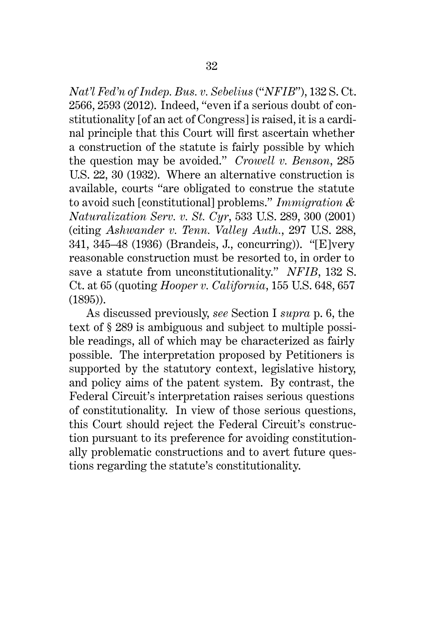*Nat'l Fed'n of Indep. Bus. v. Sebelius* ("*NFIB*"), 132 S. Ct. 2566, 2593 (2012). Indeed, "even if a serious doubt of constitutionality [of an act of Congress] is raised, it is a cardinal principle that this Court will first ascertain whether a construction of the statute is fairly possible by which the question may be avoided." *Crowell v. Benson*, 285 U.S. 22, 30 (1932). Where an alternative construction is available, courts "are obligated to construe the statute to avoid such [constitutional] problems." *Immigration & Naturalization Serv. v. St. Cyr*, 533 U.S. 289, 300 (2001) (citing *Ashwander v. Tenn. Valley Auth.*, 297 U.S. 288, 341, 345–48 (1936) (Brandeis, J., concurring)). "[E]very reasonable construction must be resorted to, in order to save a statute from unconstitutionality." *NFIB*, 132 S. Ct. at 65 (quoting *Hooper v. California*, 155 U.S. 648, 657 (1895)).

As discussed previously, *see* Section I *supra* p. 6, the text of § 289 is ambiguous and subject to multiple possible readings, all of which may be characterized as fairly possible. The interpretation proposed by Petitioners is supported by the statutory context, legislative history, and policy aims of the patent system. By contrast, the Federal Circuit's interpretation raises serious questions of constitutionality. In view of those serious questions, this Court should reject the Federal Circuit's construction pursuant to its preference for avoiding constitutionally problematic constructions and to avert future questions regarding the statute's constitutionality.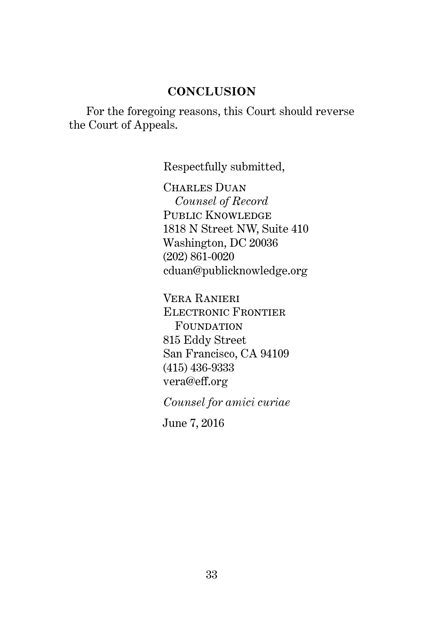#### **CONCLUSION**

For the foregoing reasons, this Court should reverse the Court of Appeals.

Respectfully submitted,

CHARLES DUAN *Counsel of Record* PUBLIC KNOWLEDGE 1818 N Street NW, Suite 410 Washington, DC 20036 (202) 861-0020 cduan@publicknowledge.org

Vera Ranieri Electronic Frontier FOUNDATION 815 Eddy Street San Francisco, CA 94109 (415) 436-9333 vera@eff.org

*Counsel for amici curiae*

June 7, 2016